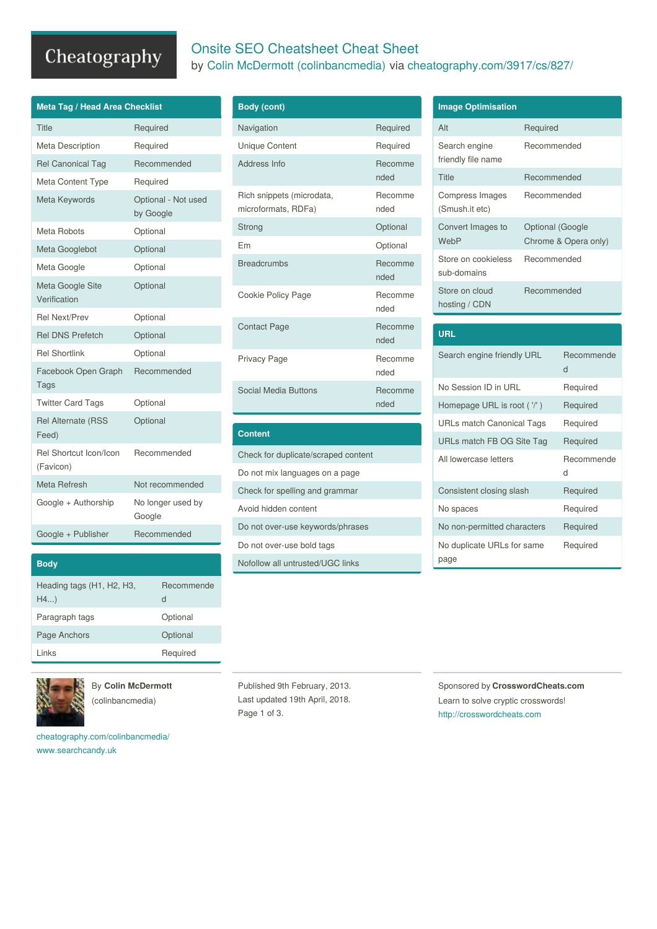## Cheatography

| <b>Meta Tag / Head Area Checklist</b> |                                  |  |
|---------------------------------------|----------------------------------|--|
| Title                                 | Required                         |  |
| Meta Description                      | Required                         |  |
| <b>Rel Canonical Tag</b>              | Recommended                      |  |
| Meta Content Type                     | Required                         |  |
| Meta Keywords                         | Optional - Not used<br>by Google |  |
| Meta Robots                           | Optional                         |  |
| Meta Googlebot                        | Optional                         |  |
| Meta Google                           | Optional                         |  |
| Meta Google Site<br>Verification      | Optional                         |  |
| <b>Rel Next/Prev</b>                  | Optional                         |  |
| <b>Rel DNS Prefetch</b>               | Optional                         |  |
| <b>Rel Shortlink</b>                  | Optional                         |  |
| Facebook Open Graph<br>Tags           | Recommended                      |  |
| <b>Twitter Card Tags</b>              | Optional                         |  |
| <b>Rel Alternate (RSS</b><br>Feed)    | Optional                         |  |
| Rel Shortcut Icon/Icon<br>(Favicon)   | Recommended                      |  |
| Meta Refresh                          | Not recommended                  |  |
| Google + Authorship                   | No longer used by<br>Google      |  |
| Google + Publisher                    | Recommended                      |  |

| <b>Body</b>                     |                 |
|---------------------------------|-----------------|
| Heading tags (H1, H2, H3,<br>H4 | Recommende<br>d |
| Paragraph tags                  | Optional        |
| Page Anchors                    | Optional        |
| l inks                          | Required        |



By **Colin McDermott**

(colinbancmedia)

[cheatography.com/colinbancmedia/](http://www.cheatography.com/colinbancmedia/) [www.searchcandy.uk](http://www.searchcandy.uk)

### Onsite SEO Cheatsheet Cheat Sheet

by Colin McDermott [\(colinbancmedia\)](http://www.cheatography.com/colinbancmedia/) via [cheatography.com/3917/cs/827/](http://www.cheatography.com/colinbancmedia/cheat-sheets/onsite-seo-cheatsheet)

| <b>Body (cont)</b>                               |                 |
|--------------------------------------------------|-----------------|
| Navigation                                       | Required        |
| <b>Unique Content</b>                            | Required        |
| Address Info                                     | Recomme<br>nded |
| Rich snippets (microdata,<br>microformats, RDFa) | Recomme<br>nded |
| Strong                                           | Optional        |
| Fm                                               | Optional        |
| <b>Breadcrumbs</b>                               | Recomme<br>nded |
| Cookie Policy Page                               | Recomme<br>nded |
| <b>Contact Page</b>                              | Recomme<br>nded |
| Privacy Page                                     | Recomme<br>nded |
| Social Media Buttons                             | Recomme<br>nded |

### **Content**

Check for duplicate/scraped content Do not mix languages on a page Check for spelling and grammar Avoid hidden content Do not over-use keywords/phrases Do not over-use bold tags Nofollow all untrusted/UGC links

| <b>Image Optimisation</b>           |                                          |
|-------------------------------------|------------------------------------------|
| Alt                                 | Required                                 |
| Search engine<br>friendly file name | Recommended                              |
| Title                               | Recommended                              |
| Compress Images<br>(Smush.it etc)   | Recommended                              |
| Convert Images to<br>WebP           | Optional (Google<br>Chrome & Opera only) |
| Store on cookieless<br>sub-domains  | Recommended                              |
| Store on cloud<br>hosting / CDN     | Recommended                              |

### **URL**

| Search engine friendly URL  | Recommende<br>d |
|-----------------------------|-----------------|
| No Session ID in URL        | Required        |
| Homepage URL is root ( '/') | Required        |
| URLs match Canonical Tags   | Required        |
| URLs match FB OG Site Tag   | Required        |
|                             |                 |
| All lowercase letters       | Recommende<br>d |
| Consistent closing slash    | Required        |
| No spaces                   | Required        |
| No non-permitted characters | Required        |

Published 9th February, 2013. Last updated 19th April, 2018. Page 1 of 3.

Sponsored by **CrosswordCheats.com** Learn to solve cryptic crosswords!

<http://crosswordcheats.com>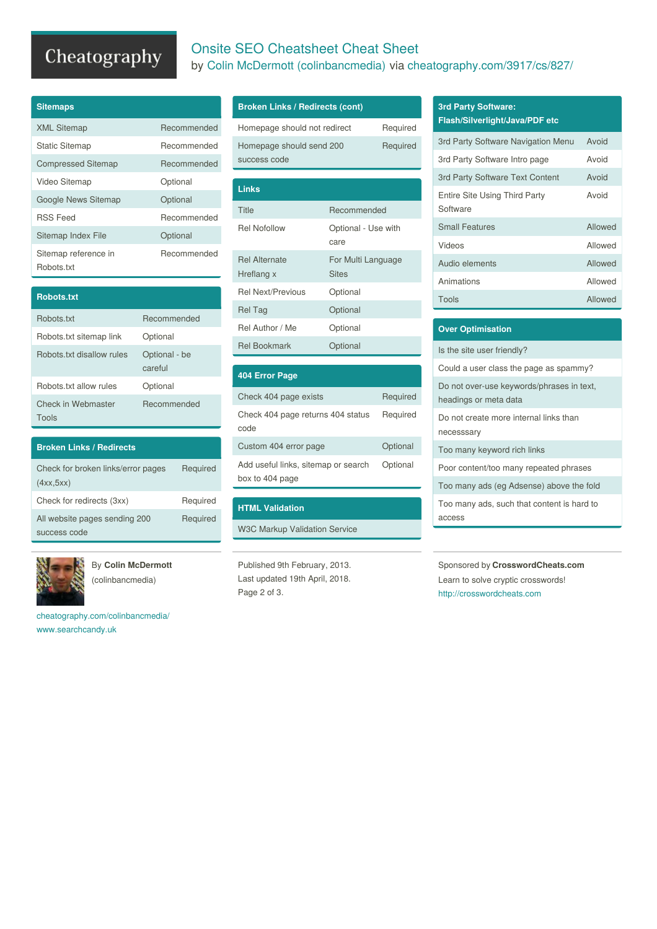# Cheatography

## Onsite SEO Cheatsheet Cheat Sheet

by Colin McDermott [\(colinbancmedia\)](http://www.cheatography.com/colinbancmedia/) via [cheatography.com/3917/cs/827/](http://www.cheatography.com/colinbancmedia/cheat-sheets/onsite-seo-cheatsheet)

| <b>Sitemaps</b>                    |             |
|------------------------------------|-------------|
| <b>XML Sitemap</b>                 | Recommended |
| <b>Static Sitemap</b>              | Recommended |
| <b>Compressed Sitemap</b>          | Recommended |
| Video Sitemap                      | Optional    |
| Google News Sitemap                | Optional    |
| <b>RSS Feed</b>                    | Recommended |
| Sitemap Index File                 | Optional    |
| Sitemap reference in<br>Robots.txt | Recommended |

| <b>Robots.txt</b>           |                          |
|-----------------------------|--------------------------|
| Robots txt                  | Recommended              |
| Robots.txt sitemap link     | Optional                 |
| Robots txt disallow rules   | Optional - be<br>careful |
| Robots txt allow rules      | Optional                 |
| Check in Webmaster<br>Tools | Recommended              |

| <b>Broken Links / Redirects</b>                 |          |
|-------------------------------------------------|----------|
| Check for broken links/error pages<br>(4xx,5xx) | Required |
| Check for redirects (3xx)                       | Required |
| All website pages sending 200<br>success code   | Required |



By **Colin McDermott** (colinbancmedia)

[cheatography.com/colinbancmedia/](http://www.cheatography.com/colinbancmedia/) [www.searchcandy.uk](http://www.searchcandy.uk)

### **Broken Links / Redirects (cont)**

| Links                                                |  |
|------------------------------------------------------|--|
|                                                      |  |
| Homepage should send 200<br>Required<br>success code |  |
| Homepage should not redirect<br>Required             |  |

| Optional - Use with<br>care |
|-----------------------------|
|                             |
| For Multi Language          |
| <b>Sites</b>                |
| Optional                    |
| Optional                    |
| Optional                    |
| Optional                    |
|                             |

| <b>404 Error Page</b>                                  |          |
|--------------------------------------------------------|----------|
| Check 404 page exists                                  | Required |
| Check 404 page returns 404 status<br>code              | Required |
| Custom 404 error page                                  | Optional |
| Add useful links, sitemap or search<br>box to 404 page | Optional |

### **HTML Validation**

W3C Markup Validation Service

Published 9th February, 2013. Last updated 19th April, 2018. Page 2 of 3.

### **3rd Party Software:**

| 3rd Party Software Navigation Menu        | Avoid   |
|-------------------------------------------|---------|
| 3rd Party Software Intro page             | Avoid   |
| 3rd Party Software Text Content           | Avoid   |
| Entire Site Using Third Party<br>Software | Avoid   |
| <b>Small Features</b>                     | Allowed |
| Videos                                    | Allowed |
| Audio elements                            | Allowed |
| Animations                                | Allowed |
| Tools                                     | Allowed |

| <b>Over Optimisation</b>                                           |
|--------------------------------------------------------------------|
| Is the site user friendly?                                         |
| Could a user class the page as spammy?                             |
| Do not over-use keywords/phrases in text,<br>headings or meta data |
| Do not create more internal links than<br>necesssary               |
| Too many keyword rich links                                        |
| Poor content/too many repeated phrases                             |
| Too many ads (eg Adsense) above the fold                           |
| Too many ads, such that content is hard to<br>access               |

Sponsored by **CrosswordCheats.com** Learn to solve cryptic crosswords! <http://crosswordcheats.com>